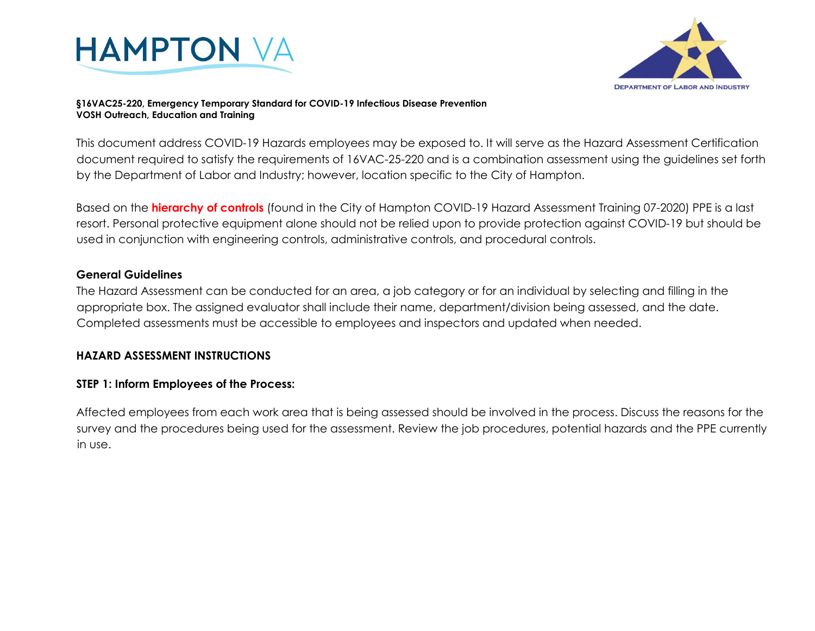



#### **§16VAC25-220, Emergency Temporary Standard for COVID-19 Infectious Disease Prevention VOSH Outreach, Education and Training**

This document address COVID-19 Hazards employees may be exposed to. It will serve as the Hazard Assessment Certification document required to satisfy the requirements of 16VAC-25-220 and is a combination assessment using the guidelines set forth by the Department of Labor and Industry; however, location specific to the City of Hampton.

Based on the **hierarchy of controls** (found in the City of Hampton COVID-19 Hazard Assessment Training 07-2020) PPE is a last resort. Personal protective equipment alone should not be relied upon to provide protection against COVID-19 but should be used in conjunction with engineering controls, administrative controls, and procedural controls.

### **General Guidelines**

The Hazard Assessment can be conducted for an area, a job category or for an individual by selecting and filling in the appropriate box. The assigned evaluator shall include their name, department/division being assessed, and the date. Completed assessments must be accessible to employees and inspectors and updated when needed.

### **HAZARD ASSESSMENT INSTRUCTIONS**

### **STEP 1: Inform Employees of the Process:**

Affected employees from each work area that is being assessed should be involved in the process. Discuss the reasons for the survey and the procedures being used for the assessment. Review the job procedures, potential hazards and the PPE currently in use.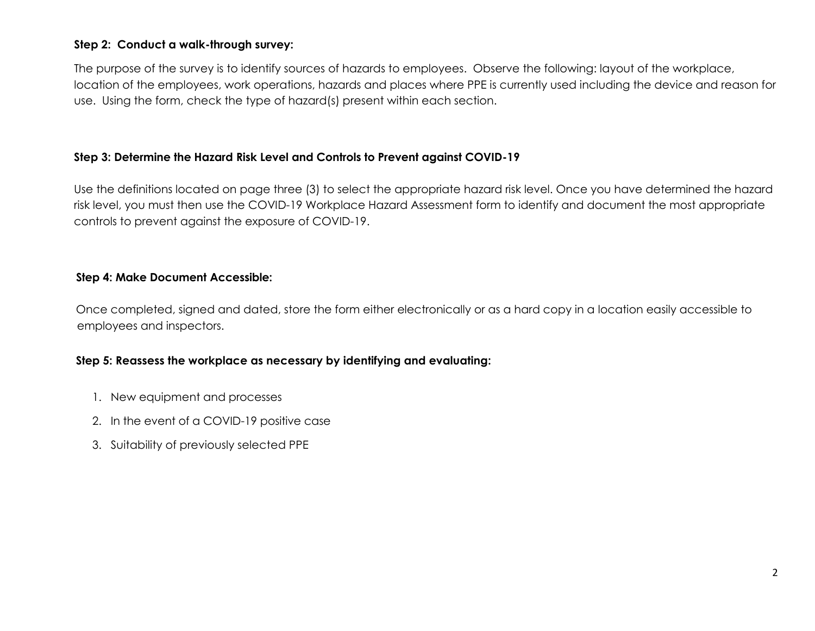## **Step 2: Conduct a walk-through survey:**

The purpose of the survey is to identify sources of hazards to employees. Observe the following: layout of the workplace, location of the employees, work operations, hazards and places where PPE is currently used including the device and reason for use. Using the form, check the type of hazard(s) present within each section.

## **Step 3: Determine the Hazard Risk Level and Controls to Prevent against COVID-19**

Use the definitions located on page three (3) to select the appropriate hazard risk level. Once you have determined the hazard risk level, you must then use the COVID-19 Workplace Hazard Assessment form to identify and document the most appropriate controls to prevent against the exposure of COVID-19.

## **Step 4: Make Document Accessible:**

Once completed, signed and dated, store the form either electronically or as a hard copy in a location easily accessible to employees and inspectors.

# **Step 5: Reassess the workplace as necessary by identifying and evaluating:**

- 1. New equipment and processes
- 2. In the event of a COVID-19 positive case
- 3. Suitability of previously selected PPE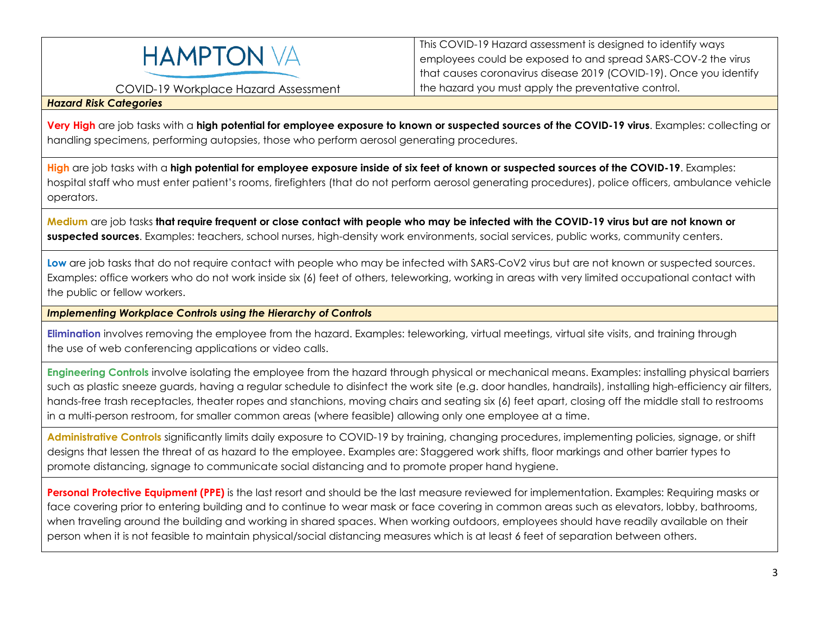

COVID-19 Workplace Hazard Assessment

This COVID-19 Hazard assessment is designed to identify ways employees could be exposed to and spread SARS-COV-2 the virus that causes coronavirus disease 2019 (COVID-19). Once you identify the hazard you must apply the preventative control.

#### *Hazard Risk Categories*

**Very High** are job tasks with a **high potential for employee exposure to known or suspected sources of the COVID-19 virus**. Examples: collecting or handling specimens, performing autopsies, those who perform aerosol generating procedures.

**High** are job tasks with a **high potential for employee exposure inside of six feet of known or suspected sources of the COVID-19**. Examples: hospital staff who must enter patient's rooms, firefighters (that do not perform aerosol generating procedures), police officers, ambulance vehicle operators.

**Medium** are job tasks **that require frequent or close contact with people who may be infected with the COVID-19 virus but are not known or suspected sources**. Examples: teachers, school nurses, high-density work environments, social services, public works, community centers.

Low are job tasks that do not require contact with people who may be infected with SARS-CoV2 virus but are not known or suspected sources. Examples: office workers who do not work inside six (6) feet of others, teleworking, working in areas with very limited occupational contact with the public or fellow workers.

*Implementing Workplace Controls using the Hierarchy of Controls* 

**Elimination** involves removing the employee from the hazard. Examples: teleworking, virtual meetings, virtual site visits, and training through the use of web conferencing applications or video calls.

**Engineering Controls** involve isolating the employee from the hazard through physical or mechanical means. Examples: installing physical barriers such as plastic sneeze guards, having a regular schedule to disinfect the work site (e.g. door handles, handrails), installing high-efficiency air filters, hands-free trash receptacles, theater ropes and stanchions, moving chairs and seating six (6) feet apart, closing off the middle stall to restrooms in a multi-person restroom, for smaller common areas (where feasible) allowing only one employee at a time.

**Administrative Controls** significantly limits daily exposure to COVID-19 by training, changing procedures, implementing policies, signage, or shift designs that lessen the threat of as hazard to the employee. Examples are: Staggered work shifts, floor markings and other barrier types to promote distancing, signage to communicate social distancing and to promote proper hand hygiene.

**Personal Protective Equipment (PPE)** is the last resort and should be the last measure reviewed for implementation. Examples: Requiring masks or face covering prior to entering building and to continue to wear mask or face covering in common areas such as elevators, lobby, bathrooms, when traveling around the building and working in shared spaces. When working outdoors, employees should have readily available on their person when it is not feasible to maintain physical/social distancing measures which is at least 6 feet of separation between others.